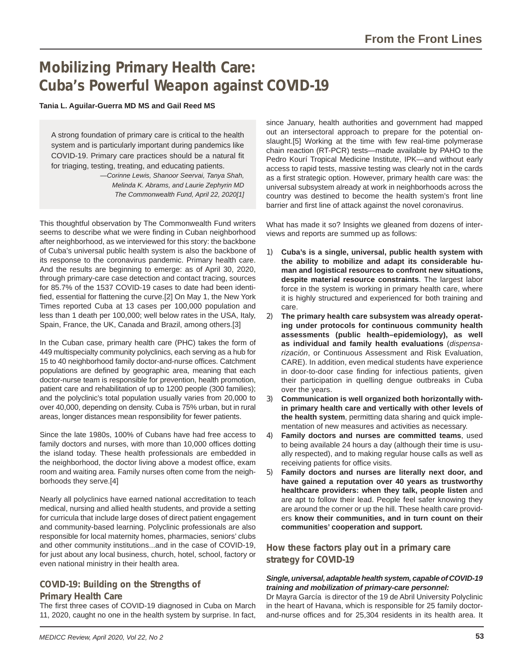# **Mobilizing Primary Health Care: Cuba's Powerful Weapon against COVID-19**

### **Tania L. Aguilar-Guerra MD MS and Gail Reed MS**

A strong foundation of primary care is critical to the health system and is particularly important during pandemics like COVID-19. Primary care practices should be a natural fit for triaging, testing, treating, and educating patients.

*—Corinne Lewis, Shanoor Seervai, Tanya Shah, Melinda K. Abrams, and Laurie Zephyrin MD The Commonwealth Fund, April 22, 2020[1]*

This thoughtful observation by The Commonwealth Fund writers seems to describe what we were finding in Cuban neighborhood after neighborhood, as we interviewed for this story: the backbone of Cuba's universal public health system is also the backbone of its response to the coronavirus pandemic. Primary health care. And the results are beginning to emerge: as of April 30, 2020, through primary-care case detection and contact tracing, sources for 85.7% of the 1537 COVID-19 cases to date had been identified, essential for flattening the curve.[2] On May 1, the New York Times reported Cuba at 13 cases per 100,000 population and less than 1 death per 100,000; well below rates in the USA, Italy, Spain, France, the UK, Canada and Brazil, among others.[3]

In the Cuban case, primary health care (PHC) takes the form of 449 multispecialty community polyclinics, each serving as a hub for 15 to 40 neighborhood family doctor-and-nurse offices. Catchment populations are defined by geographic area, meaning that each doctor-nurse team is responsible for prevention, health promotion, patient care and rehabilitation of up to 1200 people (300 families); and the polyclinic's total population usually varies from 20,000 to over 40,000, depending on density. Cuba is 75% urban, but in rural areas, longer distances mean responsibility for fewer patients.

Since the late 1980s, 100% of Cubans have had free access to family doctors and nurses, with more than 10,000 offices dotting the island today. These health professionals are embedded in the neighborhood, the doctor living above a modest office, exam room and waiting area. Family nurses often come from the neighborhoods they serve.[4]

Nearly all polyclinics have earned national accreditation to teach medical, nursing and allied health students, and provide a setting for curricula that include large doses of direct patient engagement and community-based learning. Polyclinic professionals are also responsible for local maternity homes, pharmacies, seniors' clubs and other community institutions...and in the case of COVID-19, for just about any local business, church, hotel, school, factory or even national ministry in their health area.

### **COVID-19: Building on the Strengths of**

### **Primary Health Care**

The first three cases of COVID-19 diagnosed in Cuba on March 11, 2020, caught no one in the health system by surprise. In fact,

since January, health authorities and government had mapped out an intersectoral approach to prepare for the potential onslaught.[5] Working at the time with few real-time polymerase chain reaction (RT-PCR) tests—made available by PAHO to the Pedro Kourí Tropical Medicine Institute, IPK—and without early access to rapid tests, massive testing was clearly not in the cards as a first strategic option. However, primary health care was: the universal subsystem already at work in neighborhoods across the country was destined to become the health system's front line barrier and first line of attack against the novel coronavirus.

What has made it so? Insights we gleaned from dozens of interviews and reports are summed up as follows:

- 1) **Cuba's is a single, universal, public health system with the ability to mobilize and adapt its considerable human and logistical resources to confront new situations, despite material resource constraints**. The largest labor force in the system is working in primary health care, where it is highly structured and experienced for both training and care.
- 2) **The primary health care subsystem was already operating under protocols for continuous community health assessments (public health–epidemiology), as well as individual and family health evaluations** (*dispensarización*, or Continuous Assessment and Risk Evaluation, CARE). In addition, even medical students have experience in door-to-door case finding for infectious patients, given their participation in quelling dengue outbreaks in Cuba over the years.
- 3) **Communication is well organized both horizontally within primary health care and vertically with other levels of the health system**, permitting data sharing and quick implementation of new measures and activities as necessary.
- 4) **Family doctors and nurses are committed teams**, used to being available 24 hours a day (although their time is usually respected), and to making regular house calls as well as receiving patients for office visits.
- 5) **Family doctors and nurses are literally next door, and have gained a reputation over 40 years as trustworthy healthcare providers: when they talk, people listen** and are apt to follow their lead. People feel safer knowing they are around the corner or up the hill. These health care providers **know their communities, and in turn count on their communities' cooperation and support.**

**How these factors play out in a primary care strategy for COVID-19**

### *Single, universal, adaptable health system, capable of COVID-19 training and mobilization of primary-care personnel:*

Dr Mayra García is director of the 19 de Abril University Polyclinic in the heart of Havana, which is responsible for 25 family doctorand-nurse offices and for 25,304 residents in its health area. It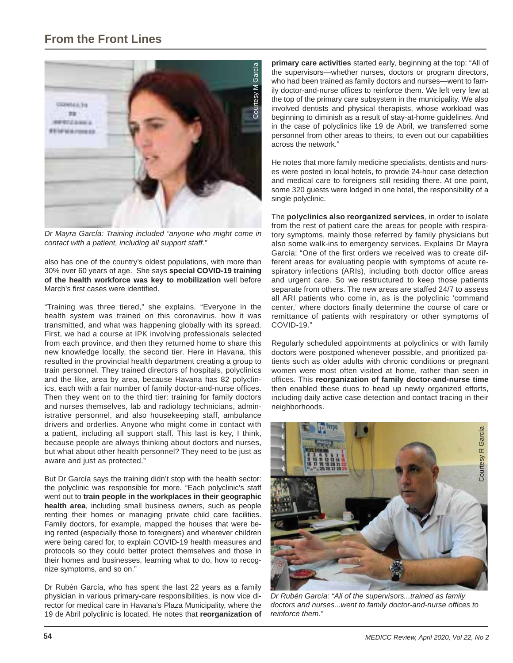

*Dr Mayra García: Training included "anyone who might come in contact with a patient, including all support staff."*

also has one of the country's oldest populations, with more than 30% over 60 years of age. She says **special COVID-19 training of the health workforce was key to mobilization** well before March's first cases were identified.

"Training was three tiered," she explains. "Everyone in the health system was trained on this coronavirus, how it was transmitted, and what was happening globally with its spread. First, we had a course at IPK involving professionals selected from each province, and then they returned home to share this new knowledge locally, the second tier. Here in Havana, this resulted in the provincial health department creating a group to train personnel. They trained directors of hospitals, polyclinics and the like, area by area, because Havana has 82 polyclinics, each with a fair number of family doctor-and-nurse offices. Then they went on to the third tier: training for family doctors and nurses themselves, lab and radiology technicians, administrative personnel, and also housekeeping staff, ambulance drivers and orderlies. Anyone who might come in contact with a patient, including all support staff. This last is key, I think, because people are always thinking about doctors and nurses, but what about other health personnel? They need to be just as aware and just as protected."

But Dr García says the training didn't stop with the health sector: the polyclinic was responsible for more. "Each polyclinic's staff went out to **train people in the workplaces in their geographic health area**, including small business owners, such as people renting their homes or managing private child care facilities. Family doctors, for example, mapped the houses that were being rented (especially those to foreigners) and wherever children were being cared for, to explain COVID-19 health measures and protocols so they could better protect themselves and those in their homes and businesses, learning what to do, how to recognize symptoms, and so on."

Dr Rubén García, who has spent the last 22 years as a family physician in various primary-care responsibilities, is now vice director for medical care in Havana's Plaza Municipality, where the 19 de Abril polyclinic is located. He notes that **reorganization of**  **primary care activities** started early, beginning at the top: "All of the supervisors—whether nurses, doctors or program directors, who had been trained as family doctors and nurses—went to family doctor-and-nurse offices to reinforce them. We left very few at the top of the primary care subsystem in the municipality. We also involved dentists and physical therapists, whose workload was beginning to diminish as a result of stay-at-home guidelines. And in the case of polyclinics like 19 de Abril, we transferred some personnel from other areas to theirs, to even out our capabilities across the network."

He notes that more family medicine specialists, dentists and nurses were posted in local hotels, to provide 24-hour case detection and medical care to foreigners still residing there. At one point, some 320 guests were lodged in one hotel, the responsibility of a single polyclinic.

The **polyclinics also reorganized services**, in order to isolate from the rest of patient care the areas for people with respiratory symptoms, mainly those referred by family physicians but also some walk-ins to emergency services. Explains Dr Mayra García: "One of the first orders we received was to create different areas for evaluating people with symptoms of acute respiratory infections (ARIs), including both doctor office areas and urgent care. So we restructured to keep those patients separate from others. The new areas are staffed 24/7 to assess all ARI patients who come in, as is the polyclinic 'command center,' where doctors finally determine the course of care or remittance of patients with respiratory or other symptoms of COVID-19."

Regularly scheduled appointments at polyclinics or with family doctors were postponed whenever possible, and prioritized patients such as older adults with chronic conditions or pregnant women were most often visited at home, rather than seen in offices. This reorganization of family doctor-and-nurse time then enabled these duos to head up newly organized efforts, including daily active case detection and contact tracing in their neighborhoods.



*Dr Rubén García: "All of the supervisors...trained as family*  doctors and nurses...went to family doctor-and-nurse offices to *reinforce them."*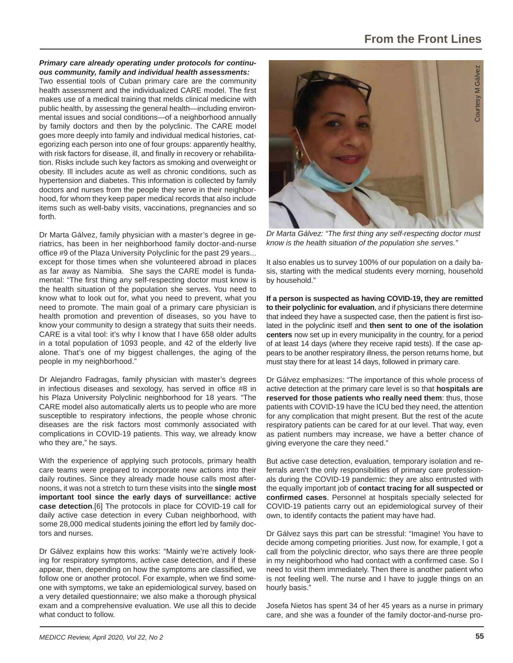### *Primary care already operating under protocols for continuous community, family and individual health assessments:*

Two essential tools of Cuban primary care are the community health assessment and the individualized CARE model. The first makes use of a medical training that melds clinical medicine with public health, by assessing the general health—including environmental issues and social conditions—of a neighborhood annually by family doctors and then by the polyclinic. The CARE model goes more deeply into family and individual medical histories, categorizing each person into one of four groups: apparently healthy, with risk factors for disease, ill, and finally in recovery or rehabilitation. Risks include such key factors as smoking and overweight or obesity. Ill includes acute as well as chronic conditions, such as hypertension and diabetes. This information is collected by family doctors and nurses from the people they serve in their neighborhood, for whom they keep paper medical records that also include items such as well-baby visits, vaccinations, pregnancies and so forth.

Dr Marta Gálvez, family physician with a master's degree in geriatrics, has been in her neighborhood family doctor-and-nurse office #9 of the Plaza University Polyclinic for the past 29 years... except for those times when she volunteered abroad in places as far away as Namibia. She says the CARE model is fundamental: "The first thing any self-respecting doctor must know is the health situation of the population she serves. You need to know what to look out for, what you need to prevent, what you need to promote. The main goal of a primary care physician is health promotion and prevention of diseases, so you have to know your community to design a strategy that suits their needs. CARE is a vital tool: it's why I know that I have 658 older adults in a total population of 1093 people, and 42 of the elderly live alone. That's one of my biggest challenges, the aging of the people in my neighborhood."

Dr Alejandro Fadragas, family physician with master's degrees in infectious diseases and sexology, has served in office  $#8$  in his Plaza University Polyclinic neighborhood for 18 years. "The CARE model also automatically alerts us to people who are more susceptible to respiratory infections, the people whose chronic diseases are the risk factors most commonly associated with complications in COVID-19 patients. This way, we already know who they are," he says.

With the experience of applying such protocols, primary health care teams were prepared to incorporate new actions into their daily routines. Since they already made house calls most afternoons, it was not a stretch to turn these visits into the **single most important tool since the early days of surveillance: active case detection**.[6] The protocols in place for COVID-19 call for daily active case detection in every Cuban neighborhood, with some 28,000 medical students joining the effort led by family doctors and nurses.

Dr Gálvez explains how this works: "Mainly we're actively looking for respiratory symptoms, active case detection, and if these appear, then, depending on how the symptoms are classified, we follow one or another protocol. For example, when we find someone with symptoms, we take an epidemiological survey, based on a very detailed questionnaire; we also make a thorough physical exam and a comprehensive evaluation. We use all this to decide what conduct to follow.



*Dr Marta Gálvez: "The fi rst thing any self-respecting doctor must know is the health situation of the population she serves."*

It also enables us to survey 100% of our population on a daily basis, starting with the medical students every morning, household by household."

**If a person is suspected as having COVID-19, they are remitted to their polyclinic for evaluation**, and if physicians there determine that indeed they have a suspected case, then the patient is first isolated in the polyclinic itself and **then sent to one of the isolation centers** now set up in every municipality in the country, for a period of at least 14 days (where they receive rapid tests). If the case appears to be another respiratory illness, the person returns home, but must stay there for at least 14 days, followed in primary care.

Dr Gálvez emphasizes: "The importance of this whole process of active detection at the primary care level is so that **hospitals are reserved for those patients who really need them**: thus, those patients with COVID-19 have the ICU bed they need, the attention for any complication that might present. But the rest of the acute respiratory patients can be cared for at our level. That way, even as patient numbers may increase, we have a better chance of giving everyone the care they need."

But active case detection, evaluation, temporary isolation and referrals aren't the only responsibilities of primary care professionals during the COVID-19 pandemic: they are also entrusted with the equally important job of **contact tracing for all suspected or confi rmed cases**. Personnel at hospitals specially selected for COVID-19 patients carry out an epidemiological survey of their own, to identify contacts the patient may have had.

Dr Gálvez says this part can be stressful: "Imagine! You have to decide among competing priorities. Just now, for example, I got a call from the polyclinic director, who says there are three people in my neighborhood who had contact with a confirmed case. So I need to visit them immediately. Then there is another patient who is not feeling well. The nurse and I have to juggle things on an hourly basis."

Josefa Nietos has spent 34 of her 45 years as a nurse in primary care, and she was a founder of the family doctor-and-nurse pro-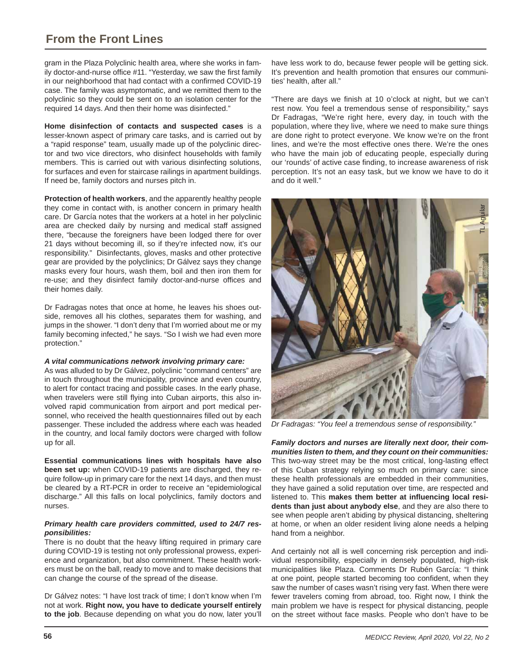## **From the Front Lines**

gram in the Plaza Polyclinic health area, where she works in family doctor-and-nurse office #11. "Yesterday, we saw the first family in our neighborhood that had contact with a confirmed COVID-19 case. The family was asymptomatic, and we remitted them to the polyclinic so they could be sent on to an isolation center for the required 14 days. And then their home was disinfected."

**Home disinfection of contacts and suspected cases** is a lesser-known aspect of primary care tasks, and is carried out by a "rapid response" team, usually made up of the polyclinic director and two vice directors, who disinfect households with family members. This is carried out with various disinfecting solutions, for surfaces and even for staircase railings in apartment buildings. If need be, family doctors and nurses pitch in.

**Protection of health workers**, and the apparently healthy people they come in contact with, is another concern in primary health care. Dr García notes that the workers at a hotel in her polyclinic area are checked daily by nursing and medical staff assigned there, "because the foreigners have been lodged there for over 21 days without becoming ill, so if they're infected now, it's our responsibility." Disinfectants, gloves, masks and other protective gear are provided by the polyclinics; Dr Gálvez says they change masks every four hours, wash them, boil and then iron them for re-use; and they disinfect family doctor-and-nurse offices and their homes daily.

Dr Fadragas notes that once at home, he leaves his shoes outside, removes all his clothes, separates them for washing, and jumps in the shower. "I don't deny that I'm worried about me or my family becoming infected," he says. "So I wish we had even more protection."

### *A vital communications network involving primary care:*

As was alluded to by Dr Gálvez, polyclinic "command centers" are in touch throughout the municipality, province and even country, to alert for contact tracing and possible cases. In the early phase, when travelers were still flying into Cuban airports, this also involved rapid communication from airport and port medical personnel, who received the health questionnaires filled out by each passenger. These included the address where each was headed in the country, and local family doctors were charged with follow up for all.

**Essential communications lines with hospitals have also been set up:** when COVID-19 patients are discharged, they require follow-up in primary care for the next 14 days, and then must be cleared by a RT-PCR in order to receive an "epidemiological discharge." All this falls on local polyclinics, family doctors and nurses.

#### *Primary health care providers committed, used to 24/7 responsibilities:*

There is no doubt that the heavy lifting required in primary care during COVID-19 is testing not only professional prowess, experience and organization, but also commitment. These health workers must be on the ball, ready to move and to make decisions that can change the course of the spread of the disease.

Dr Gálvez notes: "I have lost track of time; I don't know when I'm not at work. **Right now, you have to dedicate yourself entirely to the job**. Because depending on what you do now, later you'll have less work to do, because fewer people will be getting sick. It's prevention and health promotion that ensures our communities' health, after all."

"There are days we finish at 10 o'clock at night, but we can't rest now. You feel a tremendous sense of responsibility," says Dr Fadragas, "We're right here, every day, in touch with the population, where they live, where we need to make sure things are done right to protect everyone. We know we're on the front lines, and we're the most effective ones there. We're the ones who have the main job of educating people, especially during our 'rounds' of active case finding, to increase awareness of risk perception. It's not an easy task, but we know we have to do it and do it well."



*Dr Fadragas: "You feel a tremendous sense of responsibility."*

*Family doctors and nurses are literally next door, their communities listen to them, and they count on their communities:* This two-way street may be the most critical, long-lasting effect of this Cuban strategy relying so much on primary care: since these health professionals are embedded in their communities, they have gained a solid reputation over time, are respected and listened to. This makes them better at influencing local resi**dents than just about anybody else**, and they are also there to see when people aren't abiding by physical distancing, sheltering at home, or when an older resident living alone needs a helping hand from a neighbor.

And certainly not all is well concerning risk perception and individual responsibility, especially in densely populated, high-risk municipalities like Plaza. Comments Dr Rubén García: "I think at one point, people started becoming too confident, when they saw the number of cases wasn't rising very fast. When there were fewer travelers coming from abroad, too. Right now, I think the main problem we have is respect for physical distancing, people on the street without face masks. People who don't have to be